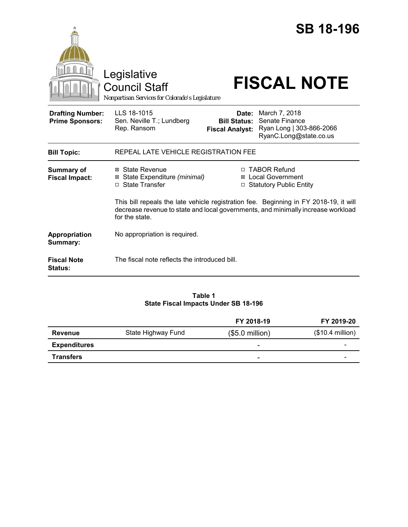|                                                   | Legislative<br><b>Council Staff</b><br>Nonpartisan Services for Colorado's Legislature                                                                                                      |                                                                   | <b>SB 18-196</b><br><b>FISCAL NOTE</b>                                                             |  |
|---------------------------------------------------|---------------------------------------------------------------------------------------------------------------------------------------------------------------------------------------------|-------------------------------------------------------------------|----------------------------------------------------------------------------------------------------|--|
| <b>Drafting Number:</b><br><b>Prime Sponsors:</b> | LLS 18-1015<br>Sen. Neville T.; Lundberg<br>Rep. Ransom                                                                                                                                     | <b>Bill Status:</b><br><b>Fiscal Analyst:</b>                     | <b>Date:</b> March 7, 2018<br>Senate Finance<br>Ryan Long   303-866-2066<br>RyanC.Long@state.co.us |  |
| <b>Bill Topic:</b>                                | REPEAL LATE VEHICLE REGISTRATION FEE                                                                                                                                                        |                                                                   |                                                                                                    |  |
| <b>Summary of</b><br><b>Fiscal Impact:</b>        | ⊠ State Revenue<br>State Expenditure (minimal)<br>⊠<br>□ State Transfer                                                                                                                     | □ TABOR Refund<br>⊠ Local Government<br>□ Statutory Public Entity |                                                                                                    |  |
|                                                   | This bill repeals the late vehicle registration fee. Beginning in FY 2018-19, it will<br>decrease revenue to state and local governments, and minimally increase workload<br>for the state. |                                                                   |                                                                                                    |  |
| Appropriation<br>Summary:                         | No appropriation is required.                                                                                                                                                               |                                                                   |                                                                                                    |  |
| <b>Fiscal Note</b><br><b>Status:</b>              | The fiscal note reflects the introduced bill.                                                                                                                                               |                                                                   |                                                                                                    |  |

## **Table 1 State Fiscal Impacts Under SB 18-196**

|                     |                    | FY 2018-19               | FY 2019-20        |
|---------------------|--------------------|--------------------------|-------------------|
| <b>Revenue</b>      | State Highway Fund | $($5.0$ million)         | $($10.4$ million) |
| <b>Expenditures</b> |                    | $\overline{\phantom{0}}$ | -                 |
| <b>Transfers</b>    |                    | -                        | -                 |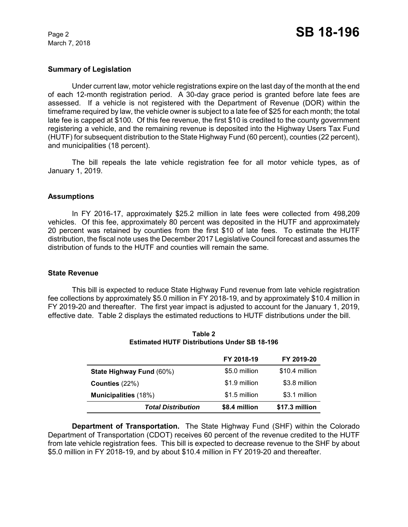March 7, 2018

### **Summary of Legislation**

Under current law, motor vehicle registrations expire on the last day of the month at the end of each 12-month registration period. A 30-day grace period is granted before late fees are assessed. If a vehicle is not registered with the Department of Revenue (DOR) within the timeframe required by law, the vehicle owner is subject to a late fee of \$25 for each month; the total late fee is capped at \$100. Of this fee revenue, the first \$10 is credited to the county government registering a vehicle, and the remaining revenue is deposited into the Highway Users Tax Fund (HUTF) for subsequent distribution to the State Highway Fund (60 percent), counties (22 percent), and municipalities (18 percent).

The bill repeals the late vehicle registration fee for all motor vehicle types, as of January 1, 2019.

### **Assumptions**

In FY 2016-17, approximately \$25.2 million in late fees were collected from 498,209 vehicles. Of this fee, approximately 80 percent was deposited in the HUTF and approximately 20 percent was retained by counties from the first \$10 of late fees. To estimate the HUTF distribution, the fiscal note uses the December 2017 Legislative Council forecast and assumes the distribution of funds to the HUTF and counties will remain the same.

### **State Revenue**

This bill is expected to reduce State Highway Fund revenue from late vehicle registration fee collections by approximately \$5.0 million in FY 2018-19, and by approximately \$10.4 million in FY 2019-20 and thereafter. The first year impact is adjusted to account for the January 1, 2019, effective date. Table 2 displays the estimated reductions to HUTF distributions under the bill.

|                             | FY 2018-19    | FY 2019-20     |
|-----------------------------|---------------|----------------|
| State Highway Fund (60%)    | \$5.0 million | \$10.4 million |
| Counties $(22%)$            | \$1.9 million | \$3.8 million  |
| <b>Municipalities</b> (18%) | \$1.5 million | \$3.1 million  |
| <b>Total Distribution</b>   | \$8.4 million | \$17.3 million |

**Table 2 Estimated HUTF Distributions Under SB 18-196**

**Department of Transportation.**The State Highway Fund (SHF) within the Colorado Department of Transportation (CDOT) receives 60 percent of the revenue credited to the HUTF from late vehicle registration fees. This bill is expected to decrease revenue to the SHF by about \$5.0 million in FY 2018-19, and by about \$10.4 million in FY 2019-20 and thereafter.